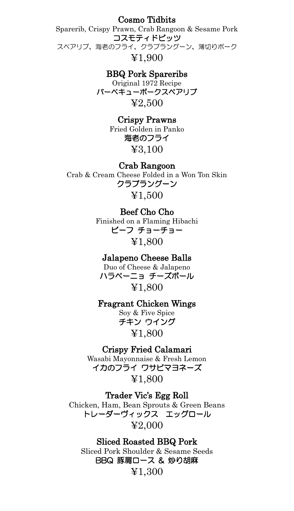Cosmo Tidbits

Sparerib, Crispy Prawn, Crab Rangoon & Sesame Pork コスモティドビッツ スペアリブ、海老のフライ、クラブラングーン、薄切りポーク ¥1,900

> BBQ Pork Spareribs Original 1972 Recipe バーベキューポークスペアリブ ¥2,500

> > Crispy Prawns Fried Golden in Panko 海老のフライ ¥3,100

Crab Rangoon Crab & Cream Cheese Folded in a Won Ton Skin クラブラングーン ¥1,500

> Beef Cho Cho Finished on a Flaming Hibachi ビーフ チョーチョー ¥1,800

Jalapeno Cheese Balls Duo of Cheese & Jalapeno ハラペーニョ チーズボール ¥1,800

Fragrant Chicken Wings

Soy & Five Spice チキン ウイング ¥1,800

Crispy Fried Calamari Wasabi Mayonnaise & Fresh Lemon イカのフライ ワサビマヨネーズ

¥1,800

Trader Vic's Egg Roll Chicken, Ham, Bean Sprouts & Green Beans トレーダーヴィックス エッグロール ¥2,000

Sliced Roasted BBQ Pork Sliced Pork Shoulder & Sesame Seeds BBQ 豚肩ロース & 炒り胡麻 ¥1,300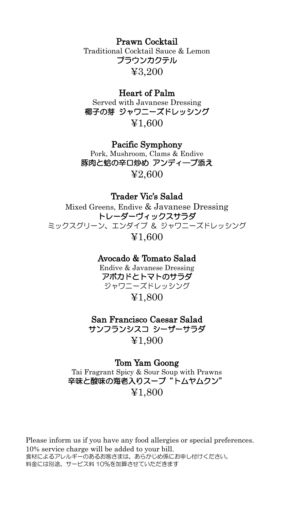Prawn Cocktail Traditional Cocktail Sauce & Lemon プラウンカクテル ¥3,200

### Heart of Palm

Served with Javanese Dressing 椰子の芽 ジャワニーズドレッシング ¥1,600

## Pacific Symphony

Pork, Mushroom, Clams & Endive 豚肉と蛤の辛口炒め アンディ―ブ添え ¥2,600

# Trader Vic's Salad

Mixed Greens, Endive & Javanese Dressing トレーダーヴィックスサラダ ミックスグリーン、エンダイブ & ジャワニーズドレッシング ¥1,600

## Avocado & Tomato Salad

Endive & Javanese Dressing アボカドとトマトのサラダ ジャワニーズドレッシング ¥1,800

# San Francisco Caesar Salad サンフランシスコ シーザーサラダ ¥1,900

### Tom Yam Goong

Tai Fragrant Spicy & Sour Soup with Prawns 辛味と酸味の海老入りスープ"トムヤムクン" ¥1,800

Please inform us if you have any food allergies or special preferences. 10% service charge will be added to your bill. 食材によるアレルギーのあるお客さまは、あらかじめ係にお申し付けください。 料金には別途、サービス料 10%を加算させていただきます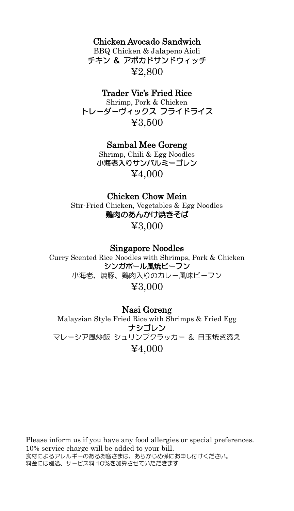# Chicken Avocado Sandwich

BBQ Chicken & Jalapeno Aioli チキン & アボカドサンドウィッチ ¥2,800

# Trader Vic's Fried Rice

Shrimp, Pork & Chicken トレーダーヴィックス フライドライス ¥3,500

Sambal Mee Goreng

Shrimp, Chili & Egg Noodles 小海老入りサンバルミーゴレン ¥4,000

# Chicken Chow Mein

Stir-Fried Chicken, Vegetables & Egg Noodles 鶏肉のあんかけ焼きそば

¥3,000

### Singapore Noodles

Curry Scented Rice Noodles with Shrimps, Pork & Chicken シンガポール風焼ビーフン 小海老、焼豚、鶏肉入りのカレー風味ビーフン ¥3,000

### Nasi Goreng

Malaysian Style Fried Rice with Shrimps & Fried Egg ナシゴレン マレーシア風炒飯 シュリンプクラッカー & 目玉焼き添え ¥4,000

Please inform us if you have any food allergies or special preferences. 10% service charge will be added to your bill. 食材によるアレルギーのあるお客さまは、あらかじめ係にお申し付けください。 料金には別途、サービス料 <sup>10</sup>%を加算させていただきます